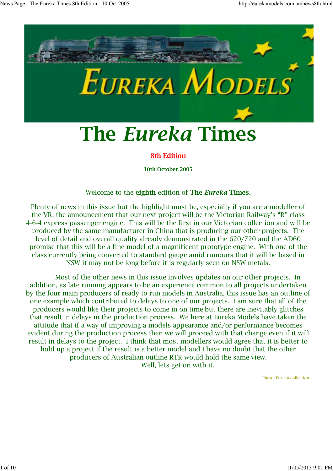

#### **8th Edition**

**10th October 2005**

#### Welcome to the **eighth** edition of **The** *Eureka* **Times**.

Plenty of news in this issue but the highlight must be, especially if you are a modeller of the VR, the announcement that our next project will be the Victorian Railway's "R" class 4-6-4 express passenger engine. This will be the first in our Victorian collection and will be produced by the same manufacturer in China that is producing our other projects. The level of detail and overall quality already demonstrated in the 620/720 and the AD60 promise that this will be a fine model of a magnificent prototype engine. With one of the class currently being converted to standard gauge amid rumours that it will be based in NSW it may not be long before it is regularly seen on NSW metals.

 Most of the other news in this issue involves updates on our other projects. In addition, as late running appears to be an experience common to all projects undertaken by the four main producers of ready to run models in Australia, this issue has an outline of one example which contributed to delays to one of our projects. I am sure that all of the producers would like their projects to come in on time but there are inevitably glitches that result in delays in the production process. We here at Eureka Models have taken the attitude that if a way of improving a models appearance and/or performance becomes evident during the production process then we will proceed with that change even if it will result in delays to the project. I think that most modellers would agree that it is better to hold up a project if the result is a better model and I have no doubt that the other producers of Australian outline RTR would hold the same view. Well, lets get on with it.

Photo: Eureka collection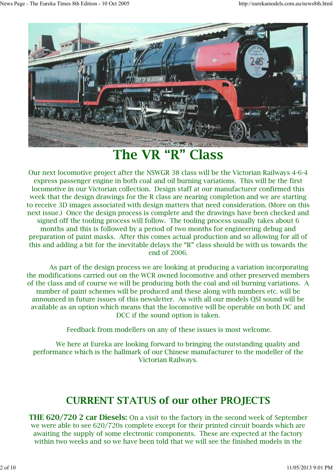

**The VR "R" Class**

Our next locomotive project after the NSWGR 38 class will be the Victorian Railways 4-6-4 express passenger engine in both coal and oil burning variations. This will be the first locomotive in our Victorian collection. Design staff at our manufacturer confirmed this week that the design drawings for the R class are nearing completion and we are starting to receive 3D images associated with design matters that need consideration. (More on this next issue.) Once the design process is complete and the drawings have been checked and signed off the tooling process will follow. The tooling process usually takes about 6 months and this is followed by a period of two months for engineering debug and preparation of paint masks. After this comes actual production and so allowing for all of this and adding a bit for the inevitable delays the "R" class should be with us towards the end of 2006.

 As part of the design process we are looking at producing a variation incorporating the modifications carried out on the WCR owned locomotive and other preserved members of the class and of course we will be producing both the coal and oil burning variations. A number of paint schemes will be produced and these along with numbers etc. will be announced in future issues of this newsletter. As with all our models QSI sound will be available as an option which means that the locomotive will be operable on both DC and DCC if the sound option is taken.

Feedback from modellers on any of these issues is most welcome.

 We here at Eureka are looking forward to bringing the outstanding quality and performance which is the hallmark of our Chinese manufacturer to the modeller of the Victorian Railways.

### **CURRENT STATUS of our other PROJECTS**

**THE 620/720 2 car Diesels:** On a visit to the factory in the second week of September we were able to see 620/720s complete except for their printed circuit boards which are awaiting the supply of some electronic components. These are expected at the factory within two weeks and so we have been told that we will see the finished models in the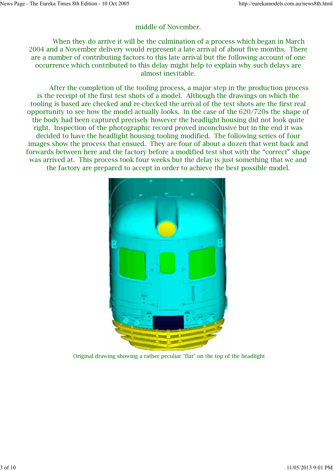#### middle of November.

 When they do arrive it will be the culmination of a process which began in March 2004 and a November delivery would represent a late arrival of about five months. There are a number of contributing factors to this late arrival but the following account of one occurrence which contributed to this delay might help to explain why such delays are almost inevitable.

 After the completion of the tooling process, a major step in the production process is the receipt of the first test shots of a model. Although the drawings on which the tooling is based are checked and re-checked the arrival of the test shots are the first real opportunity to see how the model actually looks. In the case of the 620/720s the shape of the body had been captured precisely however the headlight housing did not look quite right. Inspection of the photographic record proved inconclusive but in the end it was decided to have the headlight housing tooling modified. The following series of four images show the process that ensued. They are four of about a dozen that went back and forwards between here and the factory before a modified test shot with the "correct" shape was arrived at. This process took four weeks but the delay is just something that we and the factory are prepared to accept in order to achieve the best possible model.



Original drawing showing a rather peculiar "flat" on the top of the headlight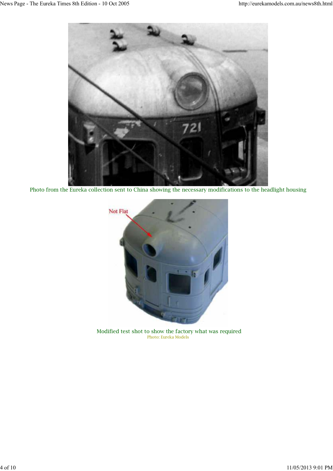

Photo from the Eureka collection sent to China showing the necessary modifications to the headlight housing



Modified test shot to show the factory what was required Photo: Eureka Models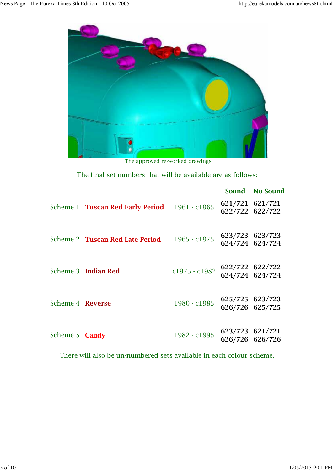

The approved re-worked drawings

The final set numbers that will be available are as follows:

|                       |                                               |                 | Sound No Sound                     |
|-----------------------|-----------------------------------------------|-----------------|------------------------------------|
|                       | Scheme 1 Tuscan Red Early Period 1961 - c1965 |                 | 621/721 621/721<br>622/722 622/722 |
|                       | Scheme 2 Tuscan Red Late Period               | 1965 - c1975    | 623/723 623/723<br>624/724 624/724 |
|                       | Scheme 3 Indian Red                           | $c1975 - c1982$ | 622/722 622/722<br>624/724 624/724 |
| Scheme 4 Reverse      |                                               | 1980 - c1985    | 625/725 623/723<br>626/726 625/725 |
| Scheme 5 <b>Candy</b> |                                               | 1982 - c1995    | 623/723 621/721<br>626/726 626/726 |

There will also be un-numbered sets available in each colour scheme.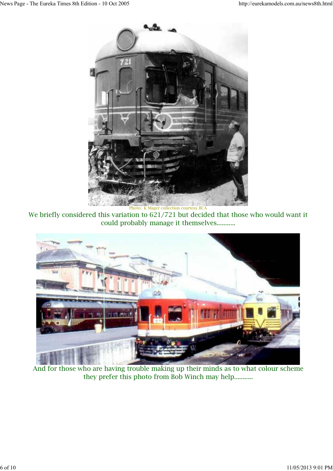

We briefly considered this variation to 621/721 but decided that those who would want it could probably manage it themselves...........



And for those who are having trouble making up their minds as to what colour scheme they prefer this photo from Bob Winch may help...........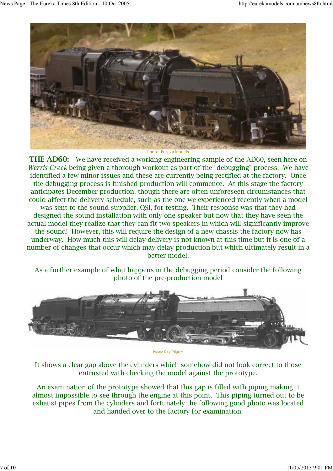

Photo: Eureka Models

**THE AD60:** We have received a working engineering sample of the AD60, seen here on *Werris Creek* being given a thorough workout as part of the "debugging" process. We have identified a few minor issues and these are currently being rectified at the factory. Once the debugging process is finished production will commence. At this stage the factory anticipates December production, though there are often unforeseen circumstances that could affect the delivery schedule, such as the one we experienced recently when a model was sent to the sound supplier, QSI, for testing. Their response was that they had designed the sound installation with only one speaker but now that they have seen the actual model they realize that they can fit two speakers in which will significantly improve the sound! However, this will require the design of a new chassis the factory now has underway. How much this will delay delivery is not known at this time but it is one of a number of changes that occur which may delay production but which ultimately result in a better model.

As a further example of what happens in the debugging period consider the following photo of the pre-production model



Photo: Ray Pilgrim

It shows a clear gap above the cylinders which somehow did not look correct to those entrusted with checking the model against the prototype.

An examination of the prototype showed that this gap is filled with piping making it almost impossible to see through the engine at this point. This piping turned out to be exhaust pipes from the cylinders and fortunately the following good photo was located and handed over to the factory for examination.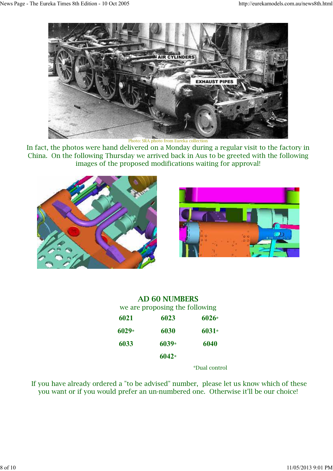

Photo: SRA photo from Eureka collection

In fact, the photos were hand delivered on a Monday during a regular visit to the factory in China. On the following Thursday we arrived back in Aus to be greeted with the following images of the proposed modifications waiting for approval!





|         | <b>AD 60 NUMBERS</b>           |         |
|---------|--------------------------------|---------|
|         | we are proposing the following |         |
| 6021    | 6023                           | $6026*$ |
| $6029*$ | 6030                           | $6031*$ |
| 6033    | $6039*$                        | 6040    |
|         | $6042*$                        |         |
|         |                                |         |

\*Dual control

 If you have already ordered a "to be advised" number, please let us know which of these you want or if you would prefer an un-numbered one. Otherwise it'll be our choice!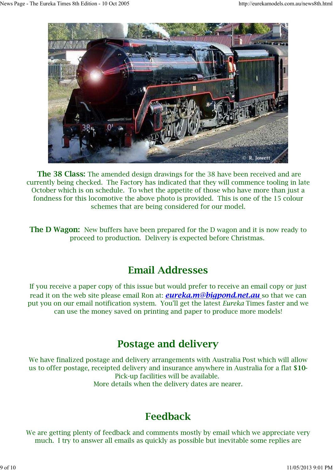

**The 38 Class:** The amended design drawings for the 38 have been received and are currently being checked. The Factory has indicated that they will commence tooling in late October which is on schedule. To whet the appetite of those who have more than just a fondness for this locomotive the above photo is provided. This is one of the 15 colour schemes that are being considered for our model.

**The D Wagon:** New buffers have been prepared for the D wagon and it is now ready to proceed to production. Delivery is expected before Christmas.

# **Email Addresses**

If you receive a paper copy of this issue but would prefer to receive an email copy or just read it on the web site please email Ron at: *eureka.m@bigpond.net.au* so that we can put you on our email notification system. You'll get the latest *Eureka* Times faster and we can use the money saved on printing and paper to produce more models!

# **Postage and delivery**

We have finalized postage and delivery arrangements with Australia Post which will allow us to offer postage, receipted delivery and insurance anywhere in Australia for a flat **\$10-** Pick-up facilities will be available. More details when the delivery dates are nearer.

# **Feedback**

We are getting plenty of feedback and comments mostly by email which we appreciate very much. I try to answer all emails as quickly as possible but inevitable some replies are